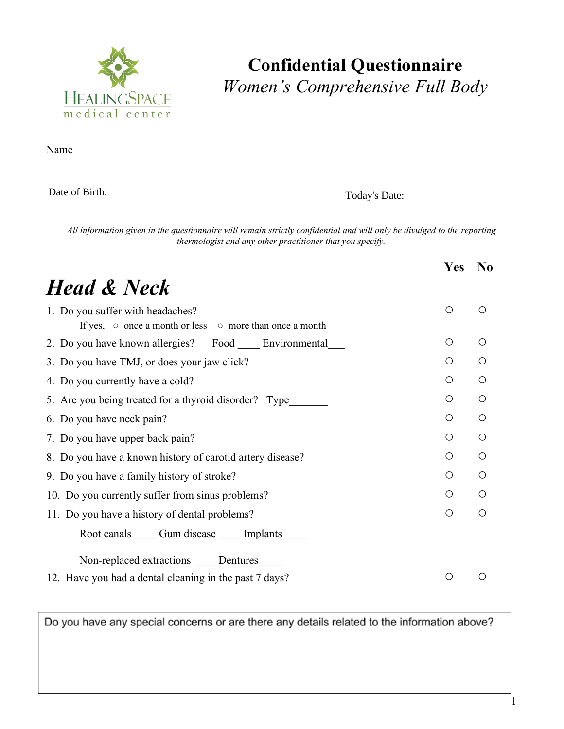

#### **Confidential Questionnaire** *Women's Comprehensive Full Body*

Name Birth Date Today's Date To Date To Date To Date To Date To Date To Date To Date To Date To Date To Date To Date To Date To Date To Date To Date To Date To Date To Date To Date To Date To Date To Date To Date To Date T

Date of Birth:

Today's Date:

All information given in the questionnaire will remain strictly confidential and will only be divulged to the reporting *thermologist and any other practitioner that you specify.*

|                                                                                                         | Yes | N <sub>0</sub> |  |  |
|---------------------------------------------------------------------------------------------------------|-----|----------------|--|--|
| <b>Head &amp; Neck</b>                                                                                  |     |                |  |  |
| 1. Do you suffer with headaches?<br>If yes, $\circ$ once a month or less $\circ$ more than once a month | O   | ∩              |  |  |
| 2. Do you have known allergies? Food Environmental                                                      | Ο   | $\bigcirc$     |  |  |
| 3. Do you have TMJ, or does your jaw click?                                                             | Ω   | ∩              |  |  |
| 4. Do you currently have a cold?                                                                        | O   | $\bigcirc$     |  |  |
| 5. Are you being treated for a thyroid disorder? Type                                                   | Ο   | O              |  |  |
| 6. Do you have neck pain?                                                                               | Ο   | O              |  |  |
| 7. Do you have upper back pain?                                                                         | Ο   | Ω              |  |  |
| 8. Do you have a known history of carotid artery disease?                                               | Ω   | O              |  |  |
| 9. Do you have a family history of stroke?                                                              | O   | $\bigcirc$     |  |  |
| 10. Do you currently suffer from sinus problems?                                                        |     |                |  |  |
| 11. Do you have a history of dental problems?                                                           |     |                |  |  |
| Root canals Cum disease Cumplants                                                                       |     |                |  |  |
| Non-replaced extractions _____ Dentures _____                                                           |     |                |  |  |
| 12. Have you had a dental cleaning in the past 7 days?                                                  |     |                |  |  |

Do you have any special concerns or are there any details related to the information above?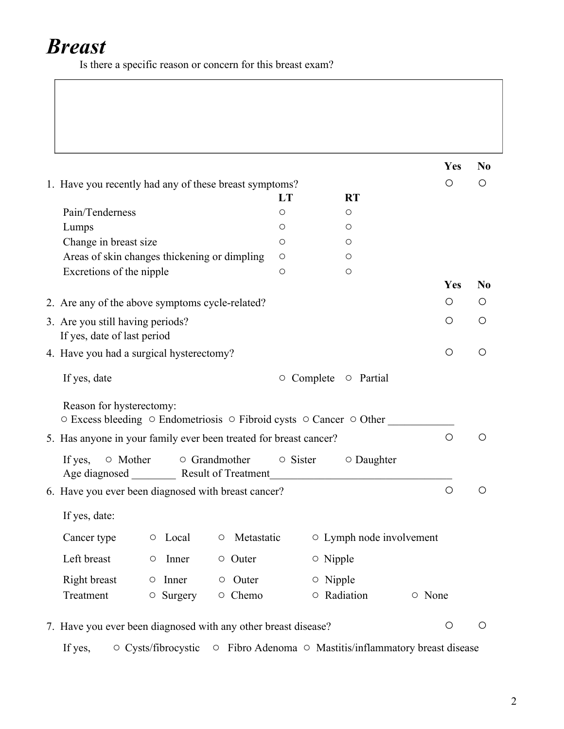### *Breast*

Is there a specific reason or concern for this breast exam?

|                                                                                                                              |                  |                |                          |        | Yes        | N <sub>0</sub>   |
|------------------------------------------------------------------------------------------------------------------------------|------------------|----------------|--------------------------|--------|------------|------------------|
| 1. Have you recently had any of these breast symptoms?                                                                       |                  |                |                          |        | O          | Ο                |
|                                                                                                                              | LT               |                | <b>RT</b>                |        |            |                  |
| Pain/Tenderness                                                                                                              | O                |                | O                        |        |            |                  |
| Lumps                                                                                                                        | O                |                | О                        |        |            |                  |
| Change in breast size                                                                                                        | O                |                | О                        |        |            |                  |
| Areas of skin changes thickening or dimpling                                                                                 | $\circ$          |                | O                        |        |            |                  |
| Excretions of the nipple                                                                                                     | O                |                | $\circ$                  |        |            |                  |
|                                                                                                                              |                  |                |                          |        | Yes        | N <sub>0</sub>   |
| 2. Are any of the above symptoms cycle-related?                                                                              |                  |                |                          |        | O          | Ő                |
| 3. Are you still having periods?                                                                                             |                  |                |                          |        | O          | O                |
| If yes, date of last period                                                                                                  |                  |                |                          |        |            |                  |
| 4. Have you had a surgical hysterectomy?                                                                                     |                  |                |                          |        | $\bigcirc$ | O                |
| If yes, date                                                                                                                 | $\circ$ Complete |                | $\circ$ Partial          |        |            |                  |
| Reason for hysterectomy:<br>$\circ$ Excess bleeding $\circ$ Endometriosis $\circ$ Fibroid cysts $\circ$ Cancer $\circ$ Other |                  |                |                          |        |            |                  |
| 5. Has anyone in your family ever been treated for breast cancer?                                                            |                  |                |                          |        | $\circ$    | $\left( \right)$ |
| ○ Mother<br>$\circ$ Grandmother<br>If yes,<br>Age diagnosed _________ Result of Treatment                                    | $\circ$ Sister   |                | $\circ$ Daughter         |        |            |                  |
| 6. Have you ever been diagnosed with breast cancer?                                                                          |                  |                |                          |        | $\bigcirc$ | O                |
| If yes, date:                                                                                                                |                  |                |                          |        |            |                  |
| Metastatic<br>Cancer type<br>$\circ$ Local<br>$\bigcirc$                                                                     |                  |                | ○ Lymph node involvement |        |            |                  |
| Left breast<br>O Outer<br>Inner<br>$\bigcirc$                                                                                |                  | $\circ$ Nipple |                          |        |            |                  |
| Right breast<br>Inner<br>$\circ$ Outer<br>$\circ$                                                                            |                  | $\circ$ Nipple |                          |        |            |                  |
| Treatment<br>$\circ$ Surgery<br>○ Chemo                                                                                      |                  | O Radiation    |                          | ○ None |            |                  |
| 7. Have you ever been diagnosed with any other breast disease?                                                               |                  |                |                          |        | $\bigcirc$ | O                |
| ○ Cysts/fibrocystic ○ Fibro Adenoma ○ Mastitis/inflammatory breast disease<br>If yes,                                        |                  |                |                          |        |            |                  |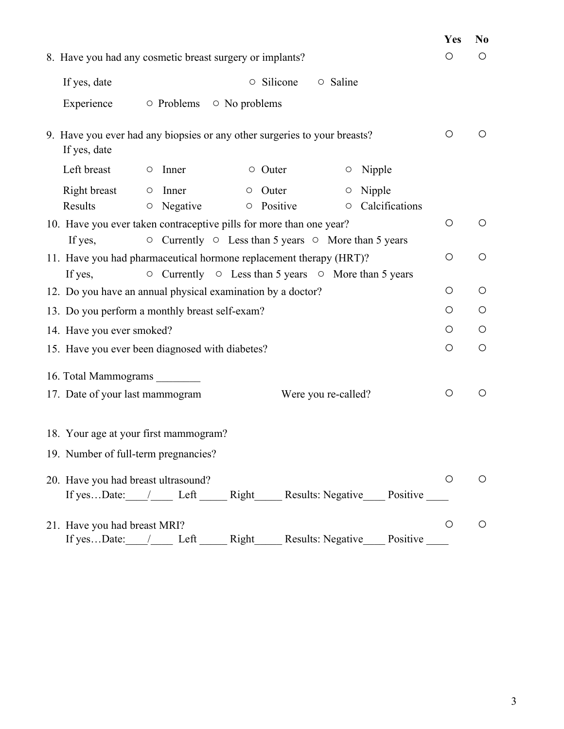|                                                                                           | Yes        | N <sub>0</sub> |  |  |  |  |
|-------------------------------------------------------------------------------------------|------------|----------------|--|--|--|--|
| 8. Have you had any cosmetic breast surgery or implants?                                  | O          | O              |  |  |  |  |
| $\circ$ Silicone<br>If yes, date<br>$\circ$ Saline                                        |            |                |  |  |  |  |
| Experience<br>○ Problems<br>$\circ$ No problems                                           |            |                |  |  |  |  |
| 9. Have you ever had any biopsies or any other surgeries to your breasts?<br>If yes, date | O          | $\circ$        |  |  |  |  |
| Left breast<br>Nipple<br>$\circ$ Inner<br>$\circ$ Outer<br>$\circ$                        |            |                |  |  |  |  |
| Right breast<br>$\circ$ Outer<br>$\circ$ Nipple<br>$\circ$ Inner                          |            |                |  |  |  |  |
| Results<br><b>O</b> Positive<br>Calcifications<br>$\circ$ Negative<br>$\circ$             |            |                |  |  |  |  |
| 10. Have you ever taken contraceptive pills for more than one year?                       | $\bigcirc$ | $\bigcirc$     |  |  |  |  |
| $\circ$ Currently $\circ$ Less than 5 years $\circ$ More than 5 years<br>If yes,          |            |                |  |  |  |  |
| 11. Have you had pharmaceutical hormone replacement therapy (HRT)?                        | $\bigcirc$ | $\bigcirc$     |  |  |  |  |
| $\circ$ Currently $\circ$ Less than 5 years $\circ$ More than 5 years<br>If yes,          |            |                |  |  |  |  |
| 12. Do you have an annual physical examination by a doctor?                               |            |                |  |  |  |  |
| 13. Do you perform a monthly breast self-exam?                                            |            |                |  |  |  |  |
| 14. Have you ever smoked?                                                                 |            |                |  |  |  |  |
| 15. Have you ever been diagnosed with diabetes?                                           |            |                |  |  |  |  |
|                                                                                           |            |                |  |  |  |  |
| 16. Total Mammograms                                                                      |            |                |  |  |  |  |
| 17. Date of your last mammogram<br>Were you re-called?                                    | O          | $\circ$        |  |  |  |  |
| 18. Your age at your first mammogram?                                                     |            |                |  |  |  |  |
| 19. Number of full-term pregnancies?                                                      |            |                |  |  |  |  |
| 20. Have you had breast ultrasound?                                                       | O          | O              |  |  |  |  |
| If yesDate: / Left Right Results: Negative Positive                                       |            |                |  |  |  |  |
| 21. Have you had breast MRI?                                                              | O          | $\bigcirc$     |  |  |  |  |
| Results: Negative<br>If yesDate:<br>Positive<br>Left<br>Right<br>$\sqrt{2}$               |            |                |  |  |  |  |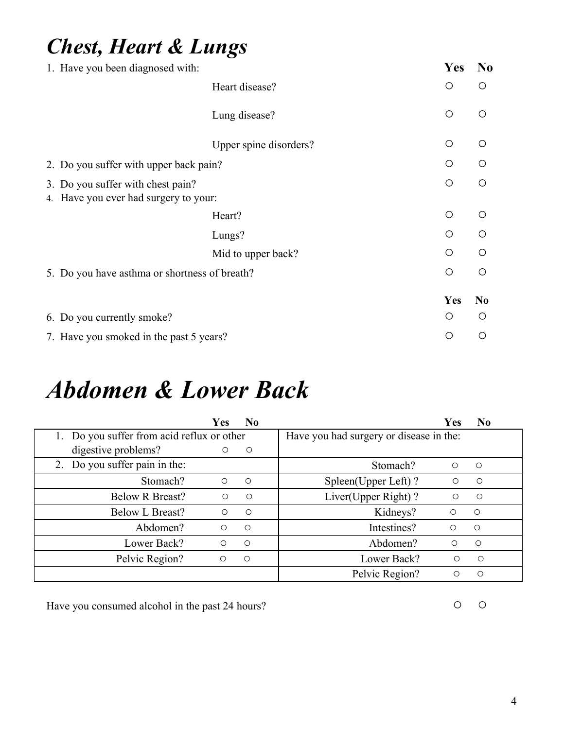#### *Chest, Heart & Lungs*

|                                               | 1. Have you been diagnosed with:                                           |                        |  | Yes        | N <sub>0</sub> |
|-----------------------------------------------|----------------------------------------------------------------------------|------------------------|--|------------|----------------|
|                                               |                                                                            | Heart disease?         |  | $\bigcirc$ | $\bigcirc$     |
|                                               |                                                                            | Lung disease?          |  | $\bigcirc$ | $\bigcirc$     |
|                                               |                                                                            | Upper spine disorders? |  | $\bigcirc$ | $\circ$        |
| 2. Do you suffer with upper back pain?        |                                                                            |                        |  |            |                |
|                                               | 3. Do you suffer with chest pain?<br>4. Have you ever had surgery to your: |                        |  | $\bigcirc$ | $\bigcirc$     |
|                                               |                                                                            | Heart?                 |  | O          | $\bigcap$      |
|                                               |                                                                            | Lungs?                 |  | $\bigcirc$ | $\circ$        |
|                                               |                                                                            | Mid to upper back?     |  | $\bigcirc$ | $\bigcirc$     |
| 5. Do you have asthma or shortness of breath? |                                                                            |                        |  |            | $\circ$        |
|                                               |                                                                            |                        |  | Yes        | N <sub>0</sub> |
|                                               | 6. Do you currently smoke?                                                 |                        |  | O          | O              |
|                                               | 7. Have you smoked in the past 5 years?                                    |                        |  | О          | Ω              |

## *Abdomen & Lower Back*

|                                            | <b>Yes</b> | N <sub>0</sub>                          |                     | <b>Yes</b> | N <sub>0</sub> |
|--------------------------------------------|------------|-----------------------------------------|---------------------|------------|----------------|
| 1. Do you suffer from acid reflux or other |            | Have you had surgery or disease in the: |                     |            |                |
| digestive problems?                        | $\circ$    | $\circ$                                 |                     |            |                |
| 2. Do you suffer pain in the:              |            |                                         | Stomach?            | $\circ$    | $\bigcirc$     |
| Stomach?                                   | $\circ$    | $\circ$                                 | Spleen(Upper Left)? | O          | $\circ$        |
| <b>Below R Breast?</b>                     | $\bigcirc$ | $\circ$                                 | Liver(Upper Right)? | O          | $\circ$        |
| <b>Below L Breast?</b>                     | $\bigcirc$ | $\circ$                                 | Kidneys?            | $\bigcirc$ | $\bigcirc$     |
| Abdomen?                                   | $\bigcirc$ | $\bigcirc$                              | Intestines?         | ◯          | $\bigcirc$     |
| Lower Back?                                | $\circ$    | $\bigcirc$                              | Abdomen?            | ∩          | $\bigcirc$     |
| Pelvic Region?                             | $\circ$    | $\bigcirc$                              | Lower Back?         | $\bigcirc$ | $\bigcirc$     |
|                                            |            |                                         | Pelvic Region?      | Ω          | O              |

Have you consumed alcohol in the past 24 hours? <br>
○ ○